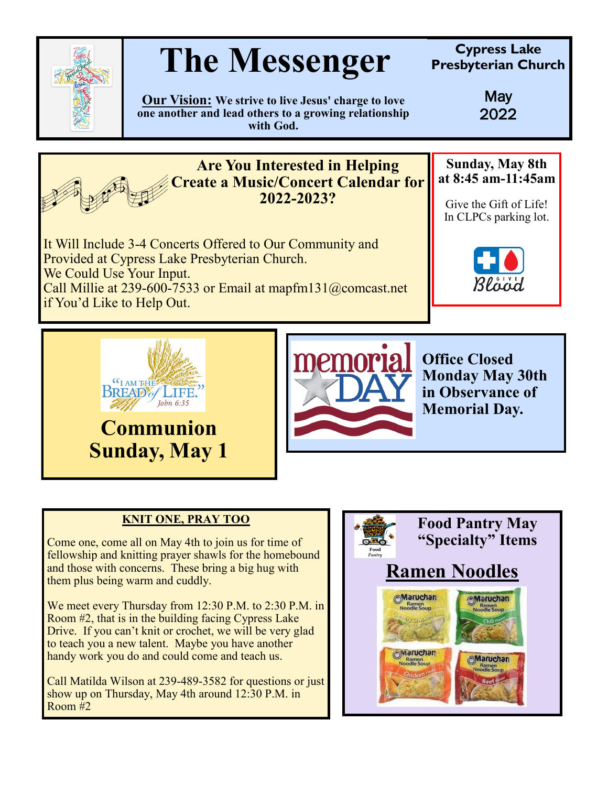

## **The Messenger Cypress Lake**<br> **Cypress Lake**<br> **Cypress Lake**

**Presbyterian Church**

**Our Vision: We strive to live Jesus' charge to love one another and lead others to a growing relationship with God.**

May 2022



## **KNIT ONE, PRAY TOO**

**Sunday, May 1**

Come one, come all on May 4th to join us for time of fellowship and knitting prayer shawls for the homebound and those with concerns. These bring a big hug with them plus being warm and cuddly.

We meet every Thursday from 12:30 P.M. to 2:30 P.M. in Room #2, that is in the building facing Cypress Lake Drive. If you can't knit or crochet, we will be very glad to teach you a new talent. Maybe you have another handy work you do and could come and teach us.

Call Matilda Wilson at 239-489-3582 for questions or just show up on Thursday, May 4th around 12:30 P.M. in Room #2

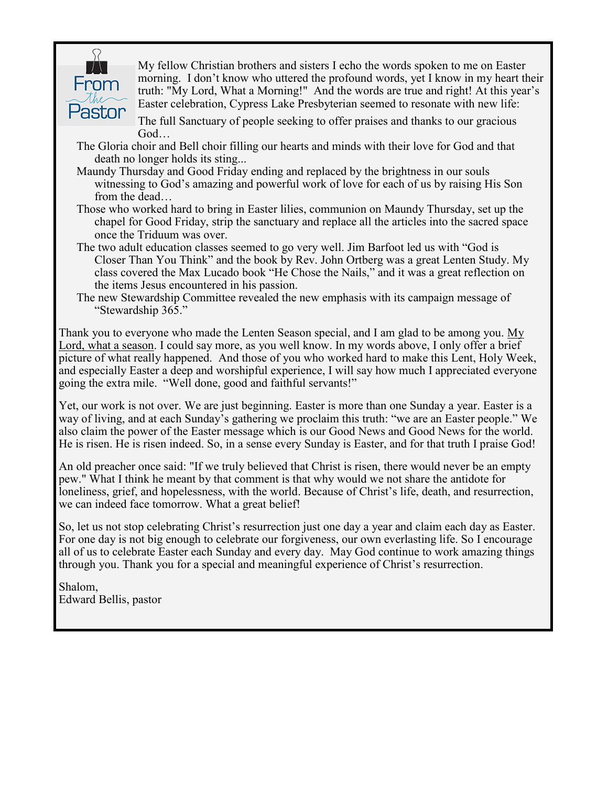

My fellow Christian brothers and sisters I echo the words spoken to me on Easter morning. I don't know who uttered the profound words, yet I know in my heart their truth: "My Lord, What a Morning!" And the words are true and right! At this year's Easter celebration, Cypress Lake Presbyterian seemed to resonate with new life:

The full Sanctuary of people seeking to offer praises and thanks to our gracious God…

- The Gloria choir and Bell choir filling our hearts and minds with their love for God and that death no longer holds its sting...
- Maundy Thursday and Good Friday ending and replaced by the brightness in our souls witnessing to God's amazing and powerful work of love for each of us by raising His Son from the dead…
- Those who worked hard to bring in Easter lilies, communion on Maundy Thursday, set up the chapel for Good Friday, strip the sanctuary and replace all the articles into the sacred space once the Triduum was over.
- The two adult education classes seemed to go very well. Jim Barfoot led us with "God is Closer Than You Think" and the book by Rev. John Ortberg was a great Lenten Study. My class covered the Max Lucado book "He Chose the Nails," and it was a great reflection on the items Jesus encountered in his passion.
- The new Stewardship Committee revealed the new emphasis with its campaign message of "Stewardship 365."

Thank you to everyone who made the Lenten Season special, and I am glad to be among you. My Lord, what a season. I could say more, as you well know. In my words above, I only offer a brief picture of what really happened. And those of you who worked hard to make this Lent, Holy Week, and especially Easter a deep and worshipful experience, I will say how much I appreciated everyone going the extra mile. "Well done, good and faithful servants!"

Yet, our work is not over. We are just beginning. Easter is more than one Sunday a year. Easter is a way of living, and at each Sunday's gathering we proclaim this truth: "we are an Easter people." We also claim the power of the Easter message which is our Good News and Good News for the world. He is risen. He is risen indeed. So, in a sense every Sunday is Easter, and for that truth I praise God!

An old preacher once said: "If we truly believed that Christ is risen, there would never be an empty pew." What I think he meant by that comment is that why would we not share the antidote for loneliness, grief, and hopelessness, with the world. Because of Christ's life, death, and resurrection, we can indeed face tomorrow. What a great belief!

So, let us not stop celebrating Christ's resurrection just one day a year and claim each day as Easter. For one day is not big enough to celebrate our forgiveness, our own everlasting life. So I encourage all of us to celebrate Easter each Sunday and every day. May God continue to work amazing things through you. Thank you for a special and meaningful experience of Christ's resurrection.

Shalom, Edward Bellis, pastor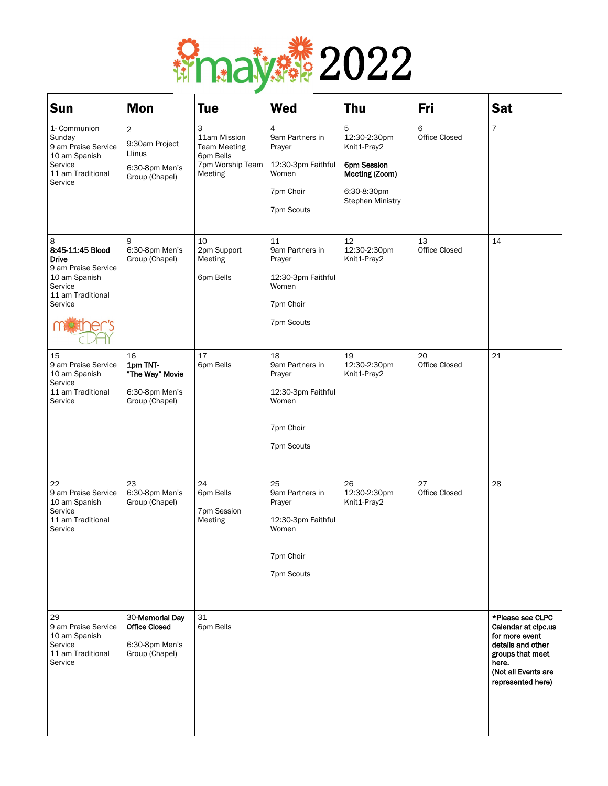

| Sun                                                                                                                      | <b>Mon</b>                                                                              | <b>Tue</b>                                                                           | <b>Wed</b>                                                                                | <b>Thu</b>                                                                                                  | Fri                 | Sat                                                                                                                                                     |
|--------------------------------------------------------------------------------------------------------------------------|-----------------------------------------------------------------------------------------|--------------------------------------------------------------------------------------|-------------------------------------------------------------------------------------------|-------------------------------------------------------------------------------------------------------------|---------------------|---------------------------------------------------------------------------------------------------------------------------------------------------------|
| 1- Communion<br>Sunday<br>9 am Praise Service<br>10 am Spanish<br>Service<br>11 am Traditional<br>Service                | $\overline{\mathbf{c}}$<br>9:30am Project<br>Llinus<br>6:30-8pm Men's<br>Group (Chapel) | 3<br>11am Mission<br><b>Team Meeting</b><br>6pm Bells<br>7pm Worship Team<br>Meeting | 4<br>9am Partners in<br>Prayer<br>12:30-3pm Faithful<br>Women<br>7pm Choir<br>7pm Scouts  | 5<br>12:30-2:30pm<br>Knit1-Pray2<br>6pm Session<br>Meeting (Zoom)<br>6:30-8:30pm<br><b>Stephen Ministry</b> | 6<br>Office Closed  | $\overline{7}$                                                                                                                                          |
| 8<br>8:45-11:45 Blood<br><b>Drive</b><br>9 am Praise Service<br>10 am Spanish<br>Service<br>11 am Traditional<br>Service | 9<br>6:30-8pm Men's<br>Group (Chapel)                                                   | 10<br>2pm Support<br>Meeting<br>6pm Bells                                            | 11<br>9am Partners in<br>Prayer<br>12:30-3pm Faithful<br>Women<br>7pm Choir<br>7pm Scouts | 12<br>12:30-2:30pm<br>Knit1-Pray2                                                                           | 13<br>Office Closed | 14                                                                                                                                                      |
| 15<br>9 am Praise Service<br>10 am Spanish<br>Service<br>11 am Traditional<br>Service                                    | 16<br>1pm TNT-<br>"The Way" Movie<br>6:30-8pm Men's<br>Group (Chapel)                   | 17<br>6pm Bells                                                                      | 18<br>9am Partners in<br>Prayer<br>12:30-3pm Faithful<br>Women<br>7pm Choir<br>7pm Scouts | 19<br>12:30-2:30pm<br>Knit1-Pray2                                                                           | 20<br>Office Closed | 21                                                                                                                                                      |
| 22<br>9 am Praise Service<br>10 am Spanish<br>Service<br>11 am Traditional<br>Service                                    | 23<br>6:30-8pm Men's<br>Group (Chapel)                                                  | 24<br>6pm Bells<br>7pm Session<br>Meeting                                            | 25<br>9am Partners in<br>Prayer<br>12:30-3pm Faithful<br>Women<br>7pm Choir<br>7pm Scouts | 26<br>12:30-2:30pm<br>Knit1-Pray2                                                                           | 27<br>Office Closed | 28                                                                                                                                                      |
| 29<br>9 am Praise Service<br>10 am Spanish<br>Service<br>11 am Traditional<br>Service                                    | 30-Memorial Day<br><b>Office Closed</b><br>6:30-8pm Men's<br>Group (Chapel)             | 31<br>6pm Bells                                                                      |                                                                                           |                                                                                                             |                     | *Please see CLPC<br>Calendar at clpc.us<br>for more event<br>details and other<br>groups that meet<br>here.<br>(Not all Events are<br>represented here) |